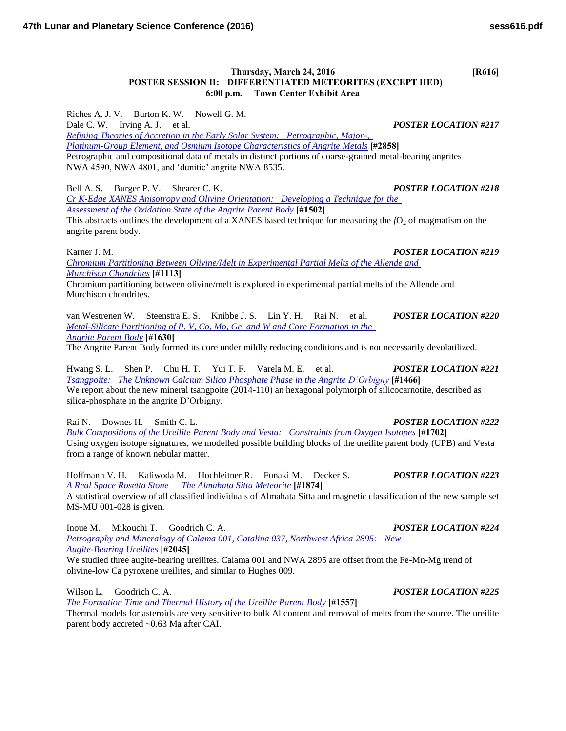## **Thursday, March 24, 2016 [R616] POSTER SESSION II: DIFFERENTIATED METEORITES (EXCEPT HED) 6:00 p.m. Town Center Exhibit Area**

Riches A. J. V. Burton K. W. Nowell G. M. Dale C. W. Irving A. J. et al. *POSTER LOCATION #217 [Refining Theories of Accretion in the Early Solar System: Petrographic, Major-,](http://www.hou.usra.edu/meetings/lpsc2016/pdf/2858.pdf)  [Platinum-Group Element, and Osmium Isotope Characteristics of Angrite Metals](http://www.hou.usra.edu/meetings/lpsc2016/pdf/2858.pdf)* **[#2858]** Petrographic and compositional data of metals in distinct portions of coarse-grained metal-bearing angrites NWA 4590, NWA 4801, and 'dunitic' angrite NWA 8535.

Bell A. S. Burger P. V. Shearer C. K. *POSTER LOCATION #218*

*[Cr K-Edge XANES Anisotropy and Olivine Orientation: Developing a Technique for the](http://www.hou.usra.edu/meetings/lpsc2016/pdf/1502.pdf)  [Assessment of the Oxidation State of the Angrite Parent Body](http://www.hou.usra.edu/meetings/lpsc2016/pdf/1502.pdf)* **[#1502]**

This abstracts outlines the development of a XANES based technique for measuring the  $fO<sub>2</sub>$  of magmatism on the angrite parent body.

*[Chromium Partitioning Between Olivine/Melt in Experimental Partial Melts of the Allende and](http://www.hou.usra.edu/meetings/lpsc2016/pdf/1113.pdf)  [Murchison Chondrites](http://www.hou.usra.edu/meetings/lpsc2016/pdf/1113.pdf)* **[#1113]**

Chromium partitioning between olivine/melt is explored in experimental partial melts of the Allende and Murchison chondrites.

van Westrenen W. Steenstra E. S. Knibbe J. S. Lin Y. H. Rai N. et al. *POSTER LOCATION #220 [Metal-Silicate Partitioning of P, V, Co, Mo, Ge, and W and Core Formation in the](http://www.hou.usra.edu/meetings/lpsc2016/pdf/1630.pdf)  [Angrite Parent Body](http://www.hou.usra.edu/meetings/lpsc2016/pdf/1630.pdf)* **[#1630]**

The Angrite Parent Body formed its core under mildly reducing conditions and is not necessarily devolatilized.

Hwang S. L. Shen P. Chu H. T. Yui T. F. Varela M. E. et al. *POSTER LOCATION #221 [Tsangpoite: The Unknown Calcium Silico Phosphate Phase in the Angrite D'Orbigny](http://www.hou.usra.edu/meetings/lpsc2016/pdf/1466.pdf)* **[#1466]** We report about the new mineral tsangpoite (2014-110) an hexagonal polymorph of silicocarnotite, described as silica-phosphate in the angrite D'Orbigny.

Rai N. Downes H. Smith C. L. *POSTER LOCATION #222*

*[Bulk Compositions of the Ureilite Parent Body and Vesta: Constraints from Oxygen Isotopes](http://www.hou.usra.edu/meetings/lpsc2016/pdf/1702.pdf)* **[#1702]** Using oxygen isotope signatures, we modelled possible building blocks of the ureilite parent body (UPB) and Vesta from a range of known nebular matter.

Hoffmann V. H. Kaliwoda M. Hochleitner R. Funaki M. Decker S. *POSTER LOCATION #223 [A Real Space Rosetta Stone — The Almahata Sitta Meteorite](http://www.hou.usra.edu/meetings/lpsc2016/pdf/1874.pdf)* **[#1874]**

A statistical overview of all classified individuals of Almahata Sitta and magnetic classification of the new sample set MS-MU 001-028 is given.

Inoue M. Mikouchi T. Goodrich C. A. *POSTER LOCATION #224 [Petrography and Mineralogy of Calama 001, Catalina 037, Northwest Africa 2895: New](http://www.hou.usra.edu/meetings/lpsc2016/pdf/2045.pdf)  [Augite-Bearing Ureilites](http://www.hou.usra.edu/meetings/lpsc2016/pdf/2045.pdf)* **[#2045]** We studied three augite-bearing ureilites. Calama 001 and NWA 2895 are offset from the Fe-Mn-Mg trend of

Wilson L. Goodrich C. A. *POSTER LOCATION #225*

*[The Formation Time and Thermal History of the Ureilite Parent Body](http://www.hou.usra.edu/meetings/lpsc2016/pdf/1557.pdf)* **[#1557]**

olivine-low Ca pyroxene ureilites, and similar to Hughes 009.

Thermal models for asteroids are very sensitive to bulk Al content and removal of melts from the source. The ureilite parent body accreted ~0.63 Ma after CAI.

Karner J. M. *POSTER LOCATION #219*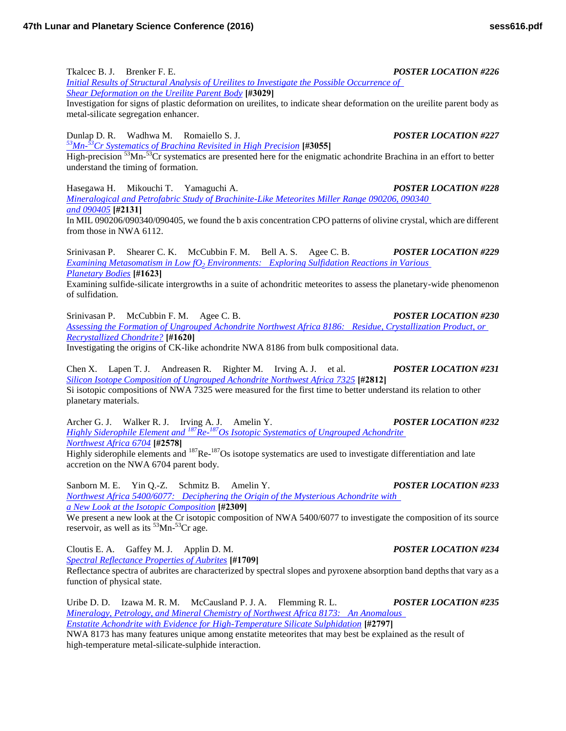Tkalcec B. J. Brenker F. E. *POSTER LOCATION #226*

*[Initial Results of Structural Analysis of Ureilites to Investigate the Possible Occurrence of](http://www.hou.usra.edu/meetings/lpsc2016/pdf/3029.pdf)  [Shear Deformation on the Ureilite Parent Body](http://www.hou.usra.edu/meetings/lpsc2016/pdf/3029.pdf)* **[#3029]**

Investigation for signs of plastic deformation on ureilites, to indicate shear deformation on the ureilite parent body as metal-silicate segregation enhancer.

Dunlap D. R. Wadhwa M. Romaiello S. J. *POSTER LOCATION #227*

*<sup>53</sup>Mn-<sup>53</sup>[Cr Systematics of Brachina Revisited in High Precision](http://www.hou.usra.edu/meetings/lpsc2016/pdf/3055.pdf)* **[#3055]**

High-precision <sup>53</sup>Mn-<sup>53</sup>Cr systematics are presented here for the enigmatic achondrite Brachina in an effort to better understand the timing of formation.

Hasegawa H. Mikouchi T. Yamaguchi A. *POSTER LOCATION #228 [Mineralogical and Petrofabric Study of Brachinite-Like Meteorites Miller Range 090206, 090340](http://www.hou.usra.edu/meetings/lpsc2016/pdf/2131.pdf)  [and 090405](http://www.hou.usra.edu/meetings/lpsc2016/pdf/2131.pdf)* **[#2131]**

In MIL 090206/090340/090405, we found the b axis concentration CPO patterns of olivine crystal, which are different from those in NWA 6112.

Srinivasan P. Shearer C. K. McCubbin F. M. Bell A. S. Agee C. B. *POSTER LOCATION #229 Examining Metasomatism in Low fO2 [Environments: Exploring Sulfidation Reactions in Various](http://www.hou.usra.edu/meetings/lpsc2016/pdf/1623.pdf)  [Planetary Bodies](http://www.hou.usra.edu/meetings/lpsc2016/pdf/1623.pdf)* **[#1623]**

Examining sulfide-silicate intergrowths in a suite of achondritic meteorites to assess the planetary-wide phenomenon of sulfidation.

Srinivasan P. McCubbin F. M. Agee C. B. *POSTER LOCATION #230 [Assessing the Formation of Ungrouped Achondrite Northwest Africa 8186: Residue, Crystallization Product, or](http://www.hou.usra.edu/meetings/lpsc2016/pdf/1620.pdf)  [Recrystallized Chondrite?](http://www.hou.usra.edu/meetings/lpsc2016/pdf/1620.pdf)* **[#1620]**

Investigating the origins of CK-like achondrite NWA 8186 from bulk compositional data.

Chen X. Lapen T. J. Andreasen R. Righter M. Irving A. J. et al. *POSTER LOCATION #231 [Silicon Isotope Composition of Ungrouped Achondrite Northwest Africa 7325](http://www.hou.usra.edu/meetings/lpsc2016/pdf/2812.pdf)* **[#2812]** Si isotopic compositions of NWA 7325 were measured for the first time to better understand its relation to other planetary materials.

Archer G. J. Walker R. J. Irving A. J. Amelin Y. *POSTER LOCATION #232 Highly Siderophile Element and <sup>187</sup>Re-<sup>187</sup>[Os Isotopic Systematics of Ungrouped Achondrite](http://www.hou.usra.edu/meetings/lpsc2016/pdf/2578.pdf)  [Northwest Africa 6704](http://www.hou.usra.edu/meetings/lpsc2016/pdf/2578.pdf)* **[#2578]** Highly siderophile elements and <sup>187</sup>Re-<sup>187</sup>Os isotope systematics are used to investigate differentiation and late accretion on the NWA 6704 parent body.

Sanborn M. E. Yin Q.-Z. Schmitz B. Amelin Y. *POSTER LOCATION #233 [Northwest Africa 5400/6077: Deciphering the Origin of the Mysterious Achondrite with](http://www.hou.usra.edu/meetings/lpsc2016/pdf/2309.pdf)  [a New Look at the Isotopic Composition](http://www.hou.usra.edu/meetings/lpsc2016/pdf/2309.pdf)* **[#2309]**

We present a new look at the Cr isotopic composition of NWA 5400/6077 to investigate the composition of its source reservoir, as well as its  ${}^{53}$ Mn- ${}^{53}$ Cr age.

Cloutis E. A. Gaffey M. J. Applin D. M. *POSTER LOCATION #234 [Spectral Reflectance Properties of Aubrites](http://www.hou.usra.edu/meetings/lpsc2016/pdf/1709.pdf)* **[#1709]**

Reflectance spectra of aubrites are characterized by spectral slopes and pyroxene absorption band depths that vary as a function of physical state.

Uribe D. D. Izawa M. R. M. McCausland P. J. A. Flemming R. L. *POSTER LOCATION #235 [Mineralogy, Petrology, and Mineral Chemistry of Northwest Africa 8173: An Anomalous](http://www.hou.usra.edu/meetings/lpsc2016/pdf/2797.pdf)  [Enstatite Achondrite with Evidence for High-Temperature Silicate Sulphidation](http://www.hou.usra.edu/meetings/lpsc2016/pdf/2797.pdf)* **[#2797]** NWA 8173 has many features unique among enstatite meteorites that may best be explained as the result of

high-temperature metal-silicate-sulphide interaction.